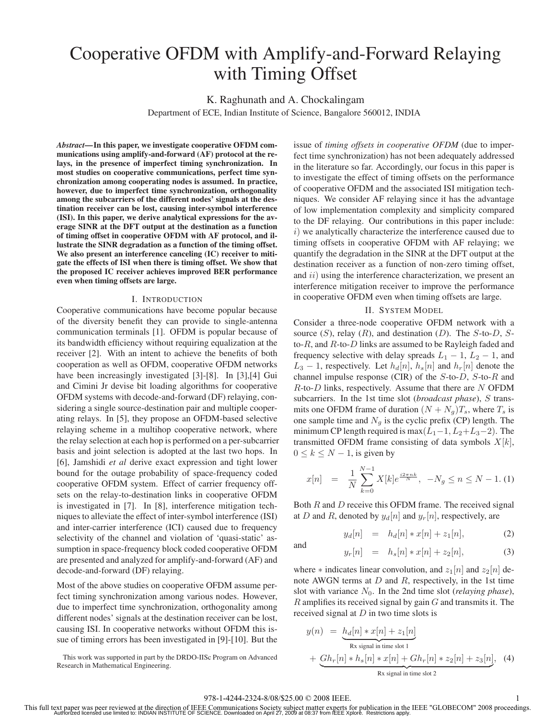## Cooperative OFDM with Amplify-and-Forward Relaying with Timing Offset

K. Raghunath and A. Chockalingam

Department of ECE, Indian Institute of Science, Bangalore 560012, INDIA

*Abstract***—In this paper, we investigate cooperative OFDM communications using amplify-and-forward (AF) protocol at the relays, in the presence of imperfect timing synchronization. In most studies on cooperative communications, perfect time synchronization among cooperating nodes is assumed. In practice, however, due to imperfect time synchronization, orthogonality among the subcarriers of the different nodes' signals at the destination receiver can be lost, causing inter-symbol interference (ISI). In this paper, we derive analytical expressions for the average SINR at the DFT output at the destination as a function of timing offset in cooperative OFDM with AF protocol, and illustrate the SINR degradation as a function of the timing offset. We also present an interference canceling (IC) receiver to mitigate the effects of ISI when there is timing offset. We show that the proposed IC receiver achieves improved BER performance even when timing offsets are large.**

### I. INTRODUCTION

Cooperative communications have become popular because of the diversity benefit they can provide to single-antenna communication terminals [1]. OFDM is popular because of its bandwidth efficiency without requiring equalization at the receiver [2]. With an intent to achieve the benefits of both cooperation as well as OFDM, cooperative OFDM networks have been increasingly investigated [3]-[8]. In [3], [4] Gui and Cimini Jr devise bit loading algorithms for cooperative OFDM systems with decode-and-forward (DF) relaying, considering a single source-destination pair and multiple cooperating relays. In [5], they propose an OFDM-based selective relaying scheme in a multihop cooperative network, where the relay selection at each hop is performed on a per-subcarrier basis and joint selection is adopted at the last two hops. In [6], Jamshidi *et al* derive exact expression and tight lower bound for the outage probability of space-frequency coded cooperative OFDM system. Effect of carrier frequency offsets on the relay-to-destination links in cooperative OFDM is investigated in [7]. In [8], interference mitigation techniques to alleviate the effect of inter-symbol interference (ISI) and inter-carrier interference (ICI) caused due to frequency selectivity of the channel and violation of 'quasi-static' assumption in space-frequency block coded cooperative OFDM are presented and analyzed for amplify-and-forward (AF) and decode-and-forward (DF) relaying.

Most of the above studies on cooperative OFDM assume perfect timing synchronization among various nodes. However, due to imperfect time synchronization, orthogonality among different nodes' signals at the destination receiver can be lost, causing ISI. In cooperative networks without OFDM this issue of timing errors has been investigated in [9]-[10]. But the

This work was supported in part by the DRDO-IISc Program on Advanced Research in Mathematical Engineering.

issue of *timing offsets in cooperative OFDM* (due to imperfect time synchronization) has not been adequately addressed in the literature so far. Accordingly, our focus in this paper is to investigate the effect of timing offsets on the performance of cooperative OFDM and the associated ISI mitigation techniques. We consider AF relaying since it has the advantage of low implementation complexity and simplicity compared to the DF relaying. Our contributions in this paper include: *i*) we analytically characterize the interference caused due to timing offsets in cooperative OFDM with AF relaying; we quantify the degradation in the SINR at the DFT output at the destination receiver as a function of non-zero timing offset, and *ii*) using the interference characterization, we present an interference mitigation receiver to improve the performance in cooperative OFDM even when timing offsets are large.

## II. SYSTEM MODEL

Consider a three-node cooperative OFDM network with a source (*S*), relay (*R*), and destination (*D*). The *S*-to-*D*, *S*to-*R*, and *R*-to-*D* links are assumed to be Rayleigh faded and frequency selective with delay spreads  $L_1 - 1$ ,  $L_2 - 1$ , and  $L_3 - 1$ , respectively. Let  $h_d[n]$ ,  $h_s[n]$  and  $h_r[n]$  denote the channel impulse response (CIR) of the *S*-to-*D*, *S*-to-*R* and *R*-to-*D* links, respectively. Assume that there are *N* OFDM subcarriers. In the 1st time slot (*broadcast phase*), *S* transmits one OFDM frame of duration  $(N + N_q)T_s$ , where  $T_s$  is one sample time and  $N_q$  is the cyclic prefix (CP) length. The minimum CP length required is max $(L_1-1, L_2+L_3-2)$ . The transmitted OFDM frame consisting of data symbols *X*[*k*],  $0 \leq k \leq N-1$ , is given by

$$
x[n] = \frac{1}{N} \sum_{k=0}^{N-1} X[k] e^{\frac{i2\pi nk}{N}}, -N_g \le n \le N-1.
$$
 (1)

Both *R* and *D* receive this OFDM frame. The received signal at *D* and *R*, denoted by  $y_d[n]$  and  $y_r[n]$ , respectively, are

$$
y_d[n] = h_d[n] * x[n] + z_1[n], \tag{2}
$$

$$
y_r[n] = h_s[n] * x[n] + z_2[n], \tag{3}
$$

where  $*$  indicates linear convolution, and  $z_1[n]$  and  $z_2[n]$  denote AWGN terms at *D* and *R*, respectively, in the 1st time slot with variance *N*0. In the 2nd time slot (*relaying phase*), *R* amplifies its received signal by gain *G* and transmits it. The received signal at *D* in two time slots is

$$
y(n) = \underbrace{h_d[n] * x[n] + z_1[n]}_{\text{Rx signal in time slot 1}}
$$
  
+ 
$$
\underbrace{Gh_r[n] * h_s[n] * x[n] + Gh_r[n] * z_2[n] + z_3[n]}_{\text{Rx signal in time slot 2}},
$$
 (4)

and

This full text paper was peer reviewed at the direction of IEEE Communications Society subject matter experts for publication in the IEEE "GLOBECOM" 2008 proceedings.<br>Authorized licensed use limited to: INDIAN INSTITUTE OF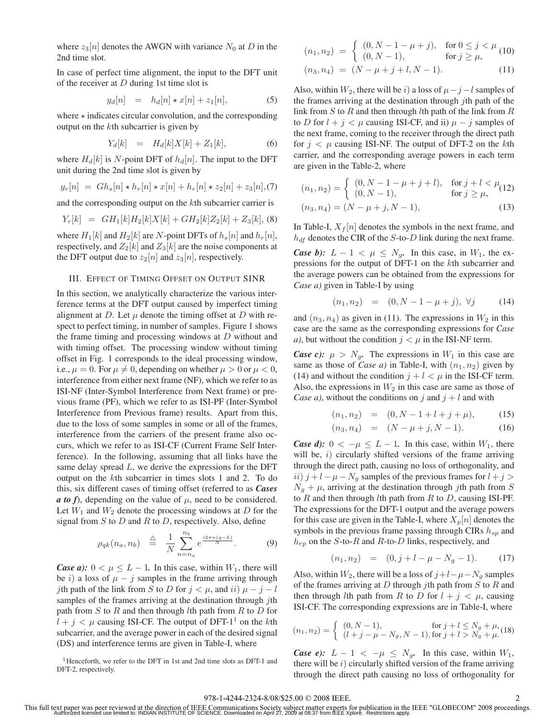where  $z_3[n]$  denotes the AWGN with variance  $N_0$  at  $D$  in the 2nd time slot.

In case of perfect time alignment, the input to the DFT unit of the receiver at *D* during 1st time slot is

$$
y_d[n] = h_d[n] \star x[n] + z_1[n], \tag{5}
$$

where  $\star$  indicates circular convolution, and the corresponding output on the *k*th subcarrier is given by

$$
Y_d[k] = H_d[k]X[k] + Z_1[k], \t(6)
$$

where  $H_d[k]$  is *N*-point DFT of  $h_d[n]$ . The input to the DFT unit during the 2nd time slot is given by

$$
y_r[n] = Gh_s[n] \star h_r[n] \star x[n] + h_r[n] \star z_2[n] + z_3[n],(7)
$$

and the corresponding output on the *k*th subcarrier carrier is

$$
Y_r[k] = GH_1[k]H_2[k]X[k] + GH_2[k]Z_2[k] + Z_3[k], (8)
$$

where  $H_1[k]$  and  $H_2[k]$  are *N*-point DFTs of  $h_s[n]$  and  $h_r[n]$ , respectively, and  $Z_2[k]$  and  $Z_3[k]$  are the noise components at the DFT output due to  $z_2[n]$  and  $z_3[n]$ , respectively.

## III. EFFECT OF TIMING OFFSET ON OUTPUT SINR

In this section, we analytically characterize the various interference terms at the DFT output caused by imperfect timing alignment at *D*. Let  $\mu$  denote the timing offset at *D* with respect to perfect timing, in number of samples. Figure 1 shows the frame timing and processing windows at *D* without and with timing offset. The processing window without timing offset in Fig. 1 corresponds to the ideal processing window, i.e.,  $\mu = 0$ . For  $\mu \neq 0$ , depending on whether  $\mu > 0$  or  $\mu < 0$ , interference from either next frame (NF), which we refer to as ISI-NF (Inter-Symbol Interference from Next frame) or previous frame (PF), which we refer to as ISI-PF (Inter-Symbol Interference from Previous frame) results. Apart from this, due to the loss of some samples in some or all of the frames, interference from the carriers of the present frame also occurs, which we refer to as ISI-CF (Current Frame Self Interference). In the following, assuming that all links have the same delay spread *L*, we derive the expressions for the DFT output on the *k*th subcarrier in times slots 1 and 2. To do this, six different cases of timing offset (referred to as *Cases a to f*), depending on the value of  $\mu$ , need to be considered. Let  $W_1$  and  $W_2$  denote the processing windows at  $D$  for the signal from *S* to *D* and *R* to *D*, respectively. Also, define

$$
\rho_{qk}(n_a, n_b) \triangleq \frac{1}{N} \sum_{n=n_a}^{n_b} e^{\frac{i2\pi n (q-k)}{N}}.
$$
 (9)

*Case a):*  $0 < \mu \leq L - 1$ . In this case, within  $W_1$ , there will be *i*) a loss of  $\mu - j$  samples in the frame arriving through *j*th path of the link from *S* to *D* for  $j < \mu$ , and *ii*)  $\mu - j - l$ samples of the frames arriving at the destination through *j*th path from *S* to *R* and then through *l*th path from *R* to *D* for  $l + j < \mu$  causing ISI-CF. The output of DFT-1<sup>1</sup> on the *k*th subcarrier, and the average power in each of the desired signal (DS) and interference terms are given in Table-I, where

<sup>1</sup>Henceforth, we refer to the DFT in 1st and 2nd time slots as DFT-1 and DFT-2, respectively.

$$
(n_1, n_2) = \begin{cases} (0, N - 1 - \mu + j), & \text{for } 0 \le j < \mu \\ (0, N - 1), & \text{for } j \ge \mu, \end{cases}
$$
  

$$
(n_3, n_4) = (N - \mu + j + l, N - 1).
$$
 (11)

Also, within  $W_2$ , there will be *i*) a loss of  $\mu - j - l$  samples of the frames arriving at the destination through *j*th path of the link from *S* to *R* and then through *l*th path of the link from *R* to *D* for  $l + j < \mu$  causing ISI-CF, and ii)  $\mu - j$  samples of the next frame, coming to the receiver through the direct path for  $j < \mu$  causing ISI-NF. The output of DFT-2 on the *k*th carrier, and the corresponding average powers in each term are given in the Table-2, where

$$
(n_1, n_2) = \begin{cases} (0, N - 1 - \mu + j + l), & \text{for } j + l < \mu \\ (0, N - 1), & \text{for } j \ge \mu, \end{cases}
$$
  

$$
(n_3, n_4) = (N - \mu + j, N - 1),
$$
 (13)

In Table-I,  $X_f[n]$  denotes the symbols in the next frame, and *hdf* denotes the CIR of the *S*-to-*D* link during the next frame. *Case b):*  $L - 1 < \mu \leq N_q$ . In this case, in  $W_1$ , the expressions for the output of DFT-1 on the *k*th subcarrier and the average powers can be obtained from the expressions for *Case a)* given in Table-I by using

$$
(n_1, n_2) = (0, N - 1 - \mu + j), \forall j \tag{14}
$$

and  $(n_3, n_4)$  as given in (11). The expressions in  $W_2$  in this case are the same as the corresponding expressions for *Case a*), but without the condition  $j < \mu$  in the ISI-NF term.

*Case c):*  $\mu > N_g$ . The expressions in  $W_1$  in this case are same as those of *Case a*) in Table-I, with  $(n_1, n_2)$  given by (14) and without the condition  $j + l < \mu$  in the ISI-CF term. Also, the expressions in  $W_2$  in this case are same as those of *Case a)*, without the conditions on *j* and  $j + l$  and with

$$
(n_1, n_2) = (0, N - 1 + l + j + \mu), \tag{15}
$$

$$
(n_3, n_4) = (N - \mu + j, N - 1). \tag{16}
$$

*Case d):*  $0 < -\mu \leq L - 1$ . In this case, within  $W_1$ , there will be, *i*) circularly shifted versions of the frame arriving through the direct path, causing no loss of orthogonality, and *ii*)  $j + l - \mu - N_g$  samples of the previous frames for  $l + j$  >  $N_q + \mu$ , arriving at the destination through *j*th path from *S* to *R* and then through *l*th path from *R* to *D*, causing ISI-PF. The expressions for the DFT-1 output and the average powers for this case are given in the Table-I, where  $X_p[n]$  denotes the symbols in the previous frame passing through CIRs *hsp* and *hrp* on the *S*-to-*R* and *R*-to-*D* links, respectively, and

$$
(n_1, n_2) = (0, j + l - \mu - N_g - 1). \tag{17}
$$

Also, within  $W_2$ , there will be a loss of  $j+l-\mu-N_g$  samples of the frames arriving at *D* through *j*th path from *S* to *R* and then through *l*th path from *R* to *D* for  $l + j < \mu$ , causing ISI-CF. The corresponding expressions are in Table-I, where

$$
(n_1, n_2) = \begin{cases} (0, N - 1), & \text{for } j + l \le N_g + \mu, \\ (l + j - \mu - N_g, N - 1), & \text{for } j + l > N_g + \mu. \end{cases}
$$
(18)

*Case e):*  $L - 1 < -\mu \leq N_g$ . In this case, within  $W_1$ , there will be *i*) circularly shifted version of the frame arriving through the direct path causing no loss of orthogonality for

This full text paper was peer reviewed at the direction of IEEE Communications Society subject matter experts for publication in the IEEE "GLOBECOM" 2008 proceedings.<br>Authorized licensed use limited to: INDIAN INSTITUTE OF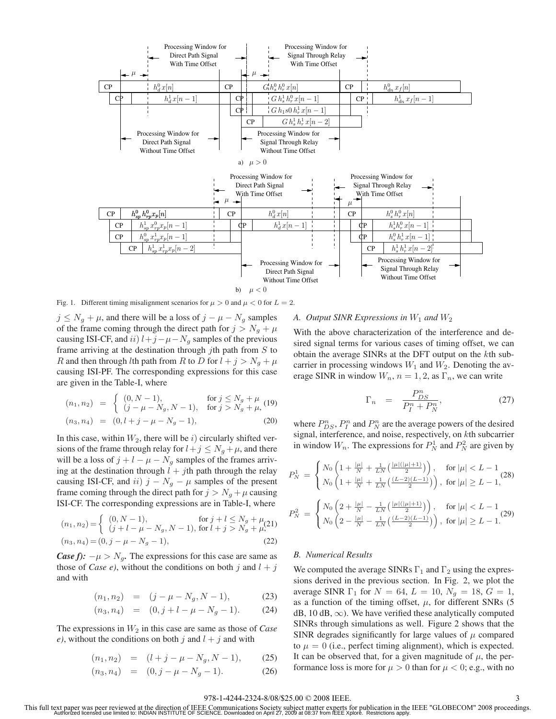

Fig. 1. Different timing misalignment scenarios for  $\mu > 0$  and  $\mu < 0$  for  $L = 2$ .

 $j \leq N_g + \mu$ , and there will be a loss of  $j - \mu - N_g$  samples of the frame coming through the direct path for  $j > N_g + \mu$ causing ISI-CF, and *ii*)  $l+j-\mu-N_g$  samples of the previous frame arriving at the destination through *j*th path from *S* to *R* and then through *l*th path from *R* to *D* for  $l + j > N_q + \mu$ causing ISI-PF. The corresponding expressions for this case are given in the Table-I, where

$$
(n_1, n_2) = \begin{cases} (0, N-1), & \text{for } j \le N_g + \mu \\ (j - \mu - N_g, N-1), & \text{for } j > N_g + \mu, \end{cases}
$$
  

$$
(n_3, n_4) = (0, l + j - \mu - N_g - 1),
$$
 (20)

In this case, within  $W_2$ , there will be *i*) circularly shifted versions of the frame through relay for  $l + j \leq N_g + \mu$ , and there will be a loss of  $j + l - \mu - N_g$  samples of the frames arriving at the destination through  $l + j$ th path through the relay causing ISI-CF, and *ii*)  $j - N_g - \mu$  samples of the present frame coming through the direct path for  $j > N_q + \mu$  causing ISI-CF. The corresponding expressions are in Table-I, where

$$
(n_1, n_2) = \begin{cases} (0, N - 1), & \text{for } j + l \le N_g + \mu_{\text{(21)}} \\ (j + l - \mu - N_g, N - 1), & \text{for } l + j > N_g + \mu^{(21)} \end{cases}
$$
  

$$
(n_3, n_4) = (0, j - \mu - N_g - 1),
$$
 (22)

*Case f):*  $-\mu > N_q$ *.* The expressions for this case are same as those of *Case e*), without the conditions on both *j* and  $l + j$ and with

$$
(n_1, n_2) = (j - \mu - N_g, N - 1), \tag{23}
$$

$$
(n_3, n_4) = (0, j + l - \mu - N_g - 1). \tag{24}
$$

The expressions in  $W_2$  in this case are same as those of *Case e*), without the conditions on both *j* and  $l + j$  and with

$$
(n_1, n_2) = (l + j - \mu - N_g, N - 1), \qquad (25)
$$

$$
(n_3, n_4) = (0, j - \mu - N_g - 1). \tag{26}
$$

### *A. Output SINR Expressions in W*<sup>1</sup> *and W*<sup>2</sup>

With the above characterization of the interference and desired signal terms for various cases of timing offset, we can obtain the average SINRs at the DFT output on the *k*th subcarrier in processing windows  $W_1$  and  $W_2$ . Denoting the average SINR in window  $W_n$ ,  $n = 1, 2$ , as  $\Gamma_n$ , we can write

$$
\Gamma_n = \frac{P_{DS}^n}{P_I^n + P_N^n},\tag{27}
$$

where  $P_{DS}^n$ ,  $P_I^n$  and  $P_N^n$  are the average powers of the desired signal, interference, and noise, respectively, on *k*th subcarrier in window  $W_n$ . The expressions for  $P_N^1$  and  $P_N^2$  are given by

$$
P_N^1 = \begin{cases} N_0 \left( 1 + \frac{|\mu|}{N} + \frac{1}{LN} \left( \frac{|\mu|(|\mu|+1)}{2} \right) \right), & \text{for } |\mu| < L - 1\\ N_0 \left( 1 + \frac{|\mu|}{N} + \frac{1}{LN} \left( \frac{(L-2)(L-1)}{2} \right) \right), & \text{for } |\mu| \ge L - 1, \end{cases}
$$
\n
$$
P_N^2 = \begin{cases} N_0 \left( 2 + \frac{|\mu|}{N} - \frac{1}{LN} \left( \frac{|\mu|(|\mu|+1)}{2} \right) \right), & \text{for } |\mu| < L - 1\\ N_0 \left( 2 - \frac{|\mu|}{N} - \frac{1}{LN} \left( \frac{(L-2)(L-1)}{2} \right) \right), & \text{for } |\mu| \ge L - 1. \end{cases}
$$
\n(29)

# *B. Numerical Results*

We computed the average SINRs  $\Gamma_1$  and  $\Gamma_2$  using the expressions derived in the previous section. In Fig. 2, we plot the average SINR  $\Gamma_1$  for  $N = 64$ ,  $L = 10$ ,  $N_g = 18$ ,  $G = 1$ , as a function of the timing offset,  $\mu$ , for different SNRs (5) dB, 10 dB,  $\infty$ ). We have verified these analytically computed SINRs through simulations as well. Figure 2 shows that the SINR degrades significantly for large values of  $\mu$  compared to  $\mu = 0$  (i.e., perfect timing alignment), which is expected. It can be observed that, for a given magnitude of  $\mu$ , the performance loss is more for  $\mu > 0$  than for  $\mu < 0$ ; e.g., with no

This full text paper was peer reviewed at the direction of IEEE Communications Society subject matter experts for publication in the IEEE "GLOBECOM" 2008 proceedings.<br>Authorized licensed use limited to: INDIAN INSTITUTE OF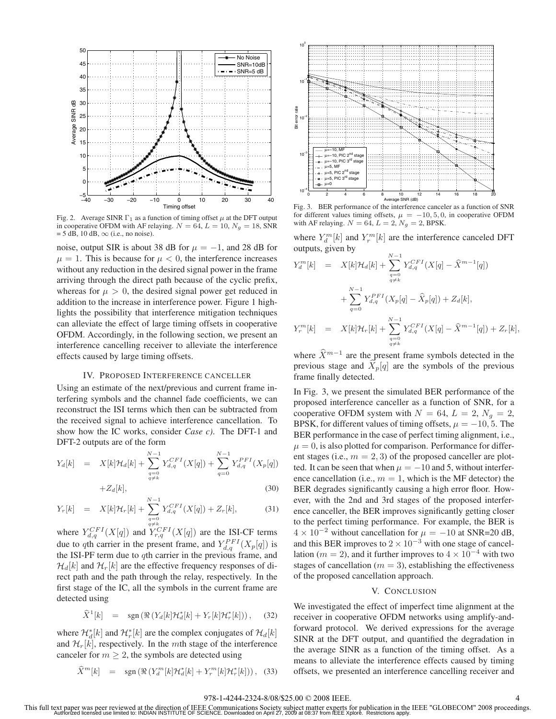

Fig. 2. Average SINR  $\Gamma_1$  as a function of timing offset  $\mu$  at the DFT output in cooperative OFDM with AF relaying.  $N = 64$ ,  $L = 10$ ,  $N_g = 18$ , SNR  $= 5$  dB, 10 dB,  $\infty$  (i.e., no noise).

noise, output SIR is about 38 dB for  $\mu = -1$ , and 28 dB for  $\mu = 1$ . This is because for  $\mu < 0$ , the interference increases without any reduction in the desired signal power in the frame arriving through the direct path because of the cyclic prefix, whereas for  $\mu > 0$ , the desired signal power get reduced in addition to the increase in interference power. Figure 1 highlights the possibility that interference mitigation techniques can alleviate the effect of large timing offsets in cooperative OFDM. Accordingly, in the following section, we present an interference cancelling receiver to alleviate the interference effects caused by large timing offsets.

### IV. PROPOSED INTERFERENCE CANCELLER

Using an estimate of the next/previous and current frame interfering symbols and the channel fade coefficients, we can reconstruct the ISI terms which then can be subtracted from the received signal to achieve interference cancellation. To show how the IC works, consider *Case c)*. The DFT-1 and DFT-2 outputs are of the form

$$
Y_d[k] = X[k]\mathcal{H}_d[k] + \sum_{\substack{q=0 \ q \neq k}}^{N-1} Y_{d,q}^{CFI}(X[q]) + \sum_{q=0}^{N-1} Y_{d,q}^{PFI}(X_p[q])
$$

$$
+Z_d[k],\tag{30}
$$

$$
Y_r[k] = X[k]\mathcal{H}_r[k] + \sum_{\substack{q=0\\q\neq k}}^{N-1} Y_{d,q}^{CFT}(X[q]) + Z_r[k],\tag{31}
$$

where  $Y_{d,q}^{CFI}(X[q])$  and  $\overline{Y_{r,q}^{CFI}(X[q])}$  are the ISI-CF terms due to *q*th carrier in the present frame, and  $Y_{d,q}^{PFI}(X_p[q])$  is the ISI-PF term due to *q*th carrier in the previous frame, and  $\mathcal{H}_d[k]$  and  $\mathcal{H}_r[k]$  are the effective frequency responses of direct path and the path through the relay, respectively. In the first stage of the IC, all the symbols in the current frame are detected using

$$
\widehat{X}^{1}[k] = \text{sgn}\left(\Re\left(Y_{d}[k]\mathcal{H}_{d}^{*}[k] + Y_{r}[k]\mathcal{H}_{r}^{*}[k]\right)\right), \quad (32)
$$

where  $\mathcal{H}_d^*[k]$  and  $\mathcal{H}_r^*[k]$  are the complex conjugates of  $\mathcal{H}_d[k]$ and  $\mathcal{H}_r[k]$ , respectively. In the *mth* stage of the interference canceler for  $m \geq 2$ , the symbols are detected using

$$
\widehat{X}^m[k] = \text{sgn}\left(\Re\left(Y_d^m[k]\mathcal{H}_d^*[k] + Y_r^m[k]\mathcal{H}_r^*[k]\right)\right),\tag{33}
$$



Fig. 3. BER performance of the interference canceler as a function of SNR for different values timing offsets,  $\mu = -10, 5, 0$ , in cooperative OFDM with AF relaying.  $N = 64$ ,  $L = 2$ ,  $N_q = 2$ , BPSK.

where  $Y_d^m[k]$  and  $Y_r^m[k]$  are the interference canceled DFT outputs, given by

$$
Y_{d}^{m}[k] = X[k]\mathcal{H}_{d}[k] + \sum_{q=0}^{N-1} Y_{d,q}^{CFI}(X[q] - \hat{X}^{m-1}[q])
$$
  
+ 
$$
\sum_{q=0}^{N-1} Y_{d,q}^{PFI}(X_{p}[q] - \hat{X}_{p}[q]) + Z_{d}[k],
$$
  

$$
Y_{r}^{m}[k] = X[k]\mathcal{H}_{r}[k] + \sum_{\substack{q=0 \ q \neq k}}^{N-1} Y_{d,q}^{CFI}(X[q] - \hat{X}^{m-1}[q]) + Z_{r}[k],
$$

where *X<sup>m</sup>*−<sup>1</sup> are the present frame symbols detected in the previous stage and  $X_p[q]$  are the symbols of the previous frame finally detected.

In Fig. 3, we present the simulated BER performance of the proposed interference canceller as a function of SNR, for a cooperative OFDM system with  $N = 64$ ,  $L = 2$ ,  $N_q = 2$ , BPSK, for different values of timing offsets,  $\mu = -10, 5$ . The BER performance in the case of perfect timing alignment, i.e.,  $\mu = 0$ , is also plotted for comparison. Performance for different stages (i.e.,  $m = 2, 3$ ) of the proposed canceller are plotted. It can be seen that when  $\mu = -10$  and 5, without interference cancellation (i.e.,  $m = 1$ , which is the MF detector) the BER degrades significantly causing a high error floor. However, with the 2nd and 3rd stages of the proposed interference canceller, the BER improves significantly getting closer to the perfect timing performance. For example, the BER is  $4 \times 10^{-2}$  without cancellation for  $\mu = -10$  at SNR=20 dB, and this BER improves to  $2 \times 10^{-3}$  with one stage of cancellation ( $m = 2$ ), and it further improves to  $4 \times 10^{-4}$  with two stages of cancellation  $(m = 3)$ , establishing the effectiveness of the proposed cancellation approach.

#### V. CONCLUSION

We investigated the effect of imperfect time alignment at the receiver in cooperative OFDM networks using amplify-andforward protocol. We derived expressions for the average SINR at the DFT output, and quantified the degradation in the average SINR as a function of the timing offset. As a means to alleviate the interference effects caused by timing offsets, we presented an interference cancelling receiver and

### 978-1-4244-2324-8/08/\$25.00 © 2008 IEEE. 4

This full text paper was peer reviewed at the direction of IEEE Communications Society subject matter experts for publication in the IEEE "GLOBECOM" 2008 proceedings.<br>Authorized licensed use limited to: INDIAN INSTITUTE OF